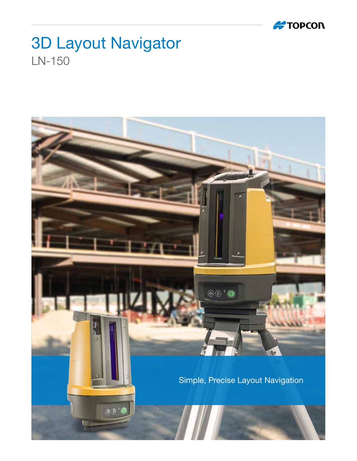

## 3D Layout Navigator LN-150

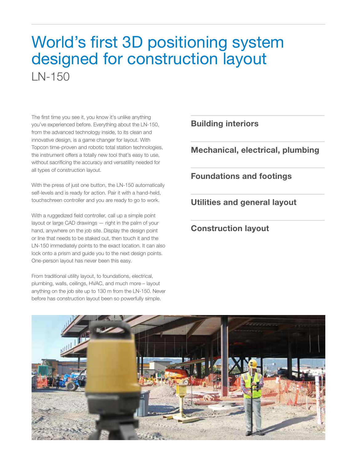## World's first 3D positioning system designed for construction layout  $IN-150$

The first time you see it, you know it's unlike anything you've experienced before. Everything about the LN-150, from the advanced technology inside, to its clean and innovative design, is a game changer for layout. With Topcon time-proven and robotic total station technologies, the instrument offers a totally new tool that's easy to use, without sacrificing the accuracy and versatility needed for all types of construction layout.

With the press of just one button, the LN-150 automatically self-levels and is ready for action. Pair it with a hand-held, touchschreen controller and you are ready to go to work.

With a ruggedized field controller, call up a simple point layout or large CAD drawings — right in the palm of your hand, anywhere on the job site. Display the design point or line that needs to be staked out, then touch it and the LN-150 immediately points to the exact location. It can also lock onto a prism and guide you to the next design points. One-person layout has never been this easy.

From traditional utility layout, to foundations, electrical, plumbing, walls, ceilings, HVAC, and much more – layout anything on the job site up to 130 m from the LN-150. Never before has construction layout been so powerfully simple.

Building interiors

Mechanical, electrical, plumbing

Foundations and footings

Utilities and general layout

Construction layout

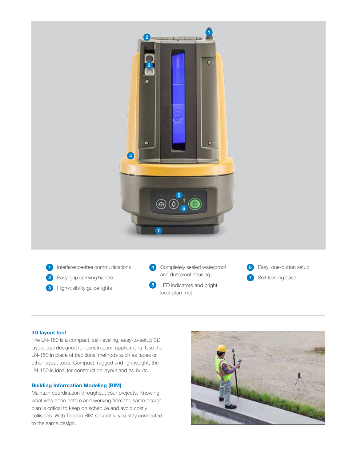

- 1 Interference-free communications
- 2 Easy-grip carrying handle
- **3** High-visibility guide lights

4 Completely sealed waterproof and dustproof housing

- 5 LED indicators and bright laser plummet
- 6 Easy, one-button setup Self-leveling base 7

### 3D layout tool

The LN-150 is a compact, self-leveling, easy-to-setup 3D layout tool designed for construction applications. Use the LN-150 in place of traditional methods such as tapes or other layout tools. Compact, rugged and lightweight, the LN-150 is ideal for construction layout and as-builts.

### Building Information Modeling (BIM)

Maintain coordination throughout your projects. Knowing what was done before and working from the same design plan is critical to keep on schedule and avoid costly collisions. With Topcon BIM solutions, you stay connected to the same design.